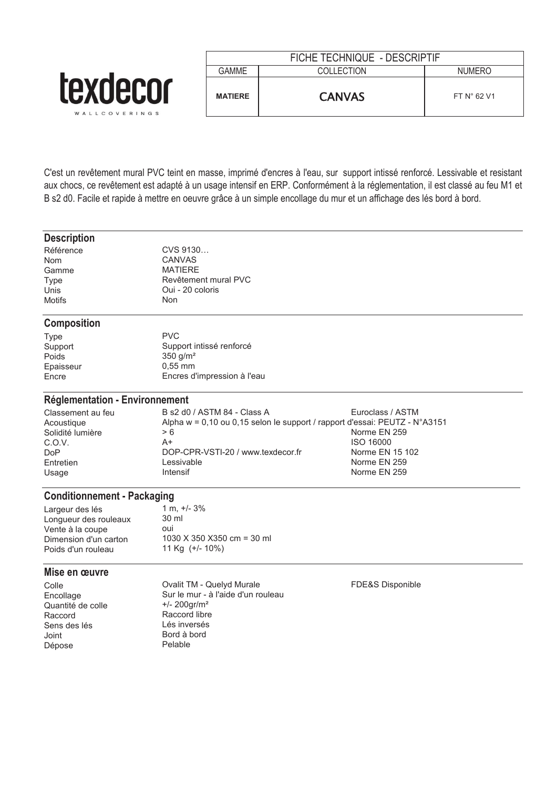|                              | FICHE TECHNIQUE - DESCRIPTIF |               |                      |
|------------------------------|------------------------------|---------------|----------------------|
|                              | GAMME                        | COLLECTION    | <b>NUMERO</b>        |
| <b>TAXL</b><br>WALLCOVERINGS | <b>MATIERE</b>               | <b>CANVAS</b> | FT $N^{\circ}$ 62 V1 |

C'est un revêtement mural PVC teint en masse, imprimé d'encres à l'eau, sur support intissé renforcé. Lessivable et resistant aux chocs, ce revêtement est adapté à un usage intensif en ERP. Conformément à la réglementation, il est classé au feu M1 et B s2 d0. Facile et rapide à mettre en oeuvre grâce à un simple encollage du mur et un affichage des lés bord à bord.

### **Description**

| CVS 9130             |
|----------------------|
| CANVAS               |
| <b>MATIFRF</b>       |
| Revêtement mural PVC |
| Oui - 20 coloris     |
| Non.                 |
|                      |

# **Composition**

| <b>PVC</b>                  |
|-----------------------------|
| Support intissé renforcé    |
| 350 $q/m^2$                 |
| $0.55$ mm                   |
| Encres d'impression à l'eau |
|                             |

# **Réglementation - Environnement**

| Classement au feu | B s2 d0 / ASTM 84 - Class A                                                            | Euroclass / ASTM |
|-------------------|----------------------------------------------------------------------------------------|------------------|
| Acoustique        | Alpha $w = 0.10$ ou 0.15 selon le support / rapport d'essai: PEUTZ - $N^{\circ}$ A3151 |                  |
| Solidité lumière  | > 6                                                                                    | Norme EN 259     |
| C.O.V.            | A+                                                                                     | ISO 16000        |
| DoP               | DOP-CPR-VSTI-20 / www.texdecor.fr                                                      | Norme EN 15 102  |
| Entretien         | Lessivable                                                                             | Norme EN 259     |
| Usage             | Intensif                                                                               | Norme EN 259     |

# **Conditionnement - Packaging**

| 1 m, $+/- 3\%$              |
|-----------------------------|
| 30 ml                       |
| oui                         |
| 1030 X 350 X 350 cm = 30 ml |
| 11 Kg $(+/- 10\%)$          |
|                             |

# **Mise en œuvre**

Colle Ovalit TM - Quelyd Murale FDE&S Disponible Encollage Sur le mur - à l'aide d'un rouleau<br>
Quantité de colle  $4/200$ gr/m<sup>2</sup> Quantité de colle<br>Raccord Raccord libre<br>Lés inversés Sens des lés Joint Bord à bord<br>
Dépose de Pelable Dépose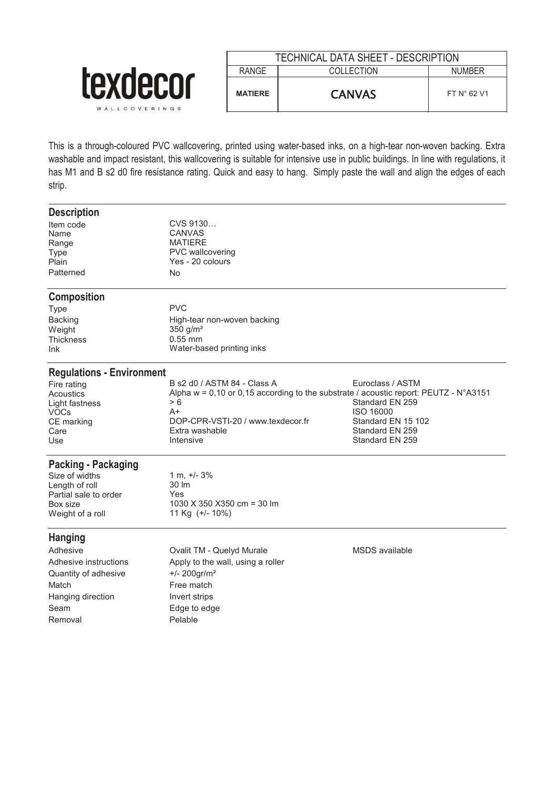|                                 |                | TECHNICAL DATA SHEET - DESCRIPTION |                      |
|---------------------------------|----------------|------------------------------------|----------------------|
|                                 | <b>RANGE</b>   | <b>COLLECTION</b>                  | <b>NUMBER</b>        |
| <b>CXUCLUI</b><br>WALLCOVERINGS | <b>MATIERE</b> | <b>CANVAS</b>                      | FT $N^{\circ}$ 62 V1 |

This is a through-coloured PVC wallcovering, printed using water-based inks, on a high-tear non-woven backing. Extra washable and impact resistant, this wallcovering is suitable for intensive use in public buildings. In line with regulations, it has M1 and B s2 d0 fire resistance rating. Quick and easy to hang. Simply paste the wall and align the edges of each strip.

| Euroclass / ASTM                                                                               |
|------------------------------------------------------------------------------------------------|
| Alpha w = 0,10 or 0,15 according to the substrate / acoustic report: PEUTZ - $N^{\circ}$ A3151 |
| Standard EN 259                                                                                |
| <b>ISO 16000</b>                                                                               |
| Standard EN 15 102                                                                             |
| Standard EN 259                                                                                |
| Standard EN 259                                                                                |
|                                                                                                |
|                                                                                                |
|                                                                                                |
|                                                                                                |
|                                                                                                |
|                                                                                                |
|                                                                                                |
| MSDS available                                                                                 |
|                                                                                                |
|                                                                                                |
|                                                                                                |
|                                                                                                |
|                                                                                                |
|                                                                                                |
|                                                                                                |
|                                                                                                |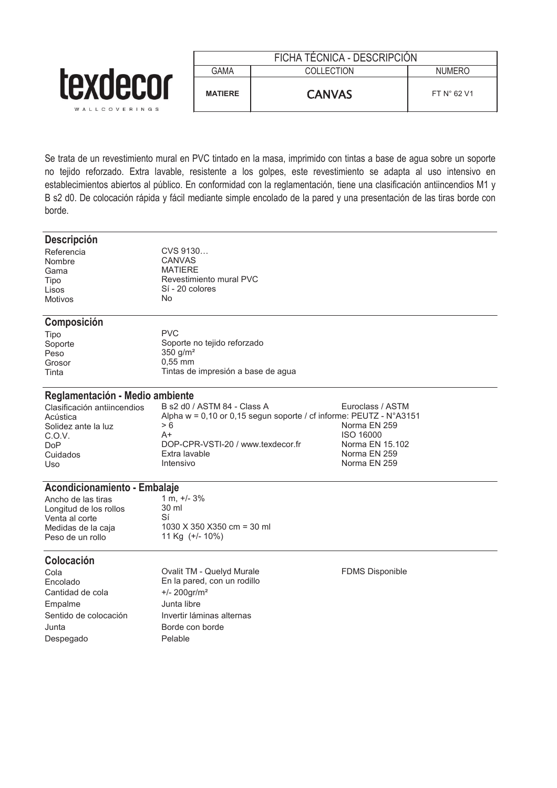|                                         | FICHA TÉCNICA - DESCRIPCIÓN |               |                      |
|-----------------------------------------|-----------------------------|---------------|----------------------|
|                                         | gama                        | COLLECTION    | <b>NUMERO</b>        |
| <b><i>LEXDECOL</i></b><br>WALLCOVERINGS | <b>MATIERE</b>              | <b>CANVAS</b> | FT $N^{\circ}$ 62 V1 |

Se trata de un revestimiento mural en PVC tintado en la masa, imprimido con tintas a base de agua sobre un soporte no tejido reforzado. Extra lavable, resistente a los golpes, este revestimiento se adapta al uso intensivo en establecimientos abiertos al público. En conformidad con la reglamentación, tiene una clasificación antiincendios M1 y B s2 d0. De colocación rápida y fácil mediante simple encolado de la pared y una presentación de las tiras borde con borde.

#### **Descripción**

Nombre CANVAS<br>Gama MATIERE Gama MATIERE<br>Tipo Revestimi Motivos

Referencia CVS 9130...<br>Nombre CANVAS Tipo Revestimiento mural PVC Sí - 20 colores

### **Composición**

| Tipo    |  |
|---------|--|
| Soporte |  |
| Peso    |  |
| Grosor  |  |
| Tinta   |  |

PVC Soporte no tejido reforzado  $350$  g/m<sup>2</sup>  $0.55$  mm Tintas de impresión a base de agua

# **Reglamentación - Medio ambiente**<br>Clasificación antijncendios B s2 d0 /

Clasificación antiincendios B s2 d0 / ASTM 84 - Class A Euroclass / ASTM<br>Acústica Alpha w = 0.10 or 0.15 segun soporte / cf informe: PEUTZ - N°A31 Alpha w = 0,10 or 0,15 segun soporte / cf informe: PEUTZ - N°A3151 > 6 Solidez ante la luz  $> 6$ <br>C.O.V. A+ A+ Norma EN 250 16000 C.O.V. A+ ISO 16000 DoP DOP-CPR-VSTI-20 / www.texdecor.fr Morma EN 15.102<br>Cuidados Extra lavable Cuidados Extra Porta EN 259 Cuidados Extra lavable Norma EN 259 Uso Intensivo Norma EN 259

# **Acondicionamiento - Embalaje**<br>Ancho de las tiras 1 m. +/- 3%

Ancho de las tiras  $1 \text{ m}$ ,  $+$ <br>1 ongitud de los rollos  $30 \text{ m}$ Longitud de los rollos 30<br>Venta al corte 31 Venta al corte<br>Medidas de la caja Peso de un rollo

 $1030$  X 350 X 350 cm = 30 ml<br>11 Kg (+/- 10%)

### **Colocación**

Cantidad de cola +/- 200gr/m² Empalme Junta libre Junta Borde con borde Despegado Pelable

Cola Ovalit TM - Quelyd Murale FDMS Disponible En la pared, con un rodillo Sentido de colocación **Invertir láminas alternas**